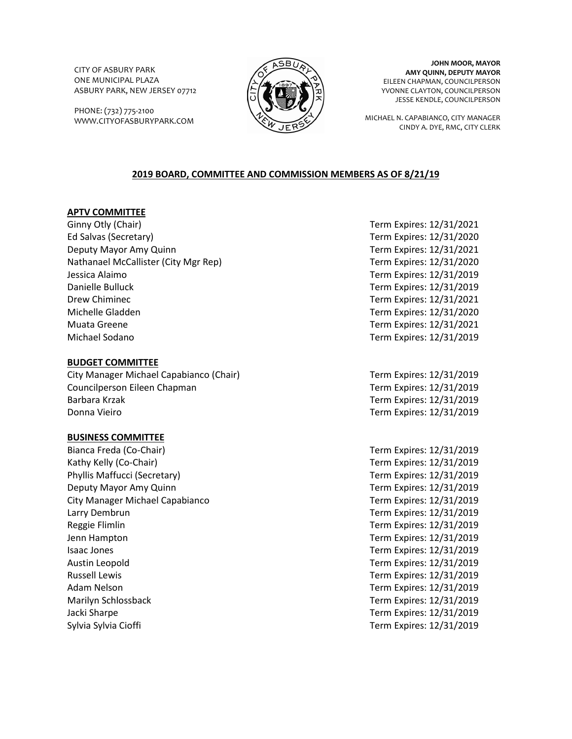CITY OF ASBURY PARK ONE MUNICIPAL PLAZA ASBURY PARK, NEW JERSEY 07712

PHONE: (732) 775-2100 WWW.CITYOFASBURYPARK.COM



**JOHN MOOR, MAYOR AMY QUINN, DEPUTY MAYOR** EILEEN CHAPMAN, COUNCILPERSON YVONNE CLAYTON, COUNCILPERSON JESSE KENDLE, COUNCILPERSON

MICHAEL N. CAPABIANCO, CITY MANAGER CINDY A. DYE, RMC, CITY CLERK

# **2019 BOARD, COMMITTEE AND COMMISSION MEMBERS AS OF 8/21/19**

## **APTV COMMITTEE**

Ginny Otly (Chair) **Term Expires: 12/31/2021** Ed Salvas (Secretary) Term Expires: 12/31/2020 Deputy Mayor Amy Quinn Term Expires: 12/31/2021 Nathanael McCallister (City Mgr Rep) Term Expires: 12/31/2020 Jessica Alaimo Term Expires: 12/31/2019 Danielle Bulluck Term Expires: 12/31/2019 Drew Chiminec **Term Expires: 12/31/2021** Michelle Gladden Term Expires: 12/31/2020 Muata Greene Term Expires: 12/31/2021 Michael Sodano Term Expires: 12/31/2019

## **BUDGET COMMITTEE**

City Manager Michael Capabianco (Chair) Term Expires: 12/31/2019 Councilperson Eileen Chapman Term Expires: 12/31/2019 Barbara Krzak Term Expires: 12/31/2019 Donna Vieiro Term Expires: 12/31/2019

## **BUSINESS COMMITTEE**

Bianca Freda (Co-Chair) Term Expires: 12/31/2019 Kathy Kelly (Co-Chair) Term Expires: 12/31/2019 Phyllis Maffucci (Secretary) Term Expires: 12/31/2019 Deputy Mayor Amy Quinn Term Expires: 12/31/2019 City Manager Michael Capabianco Term Expires: 12/31/2019 Larry Dembrun Term Expires: 12/31/2019 Reggie Flimlin Term Expires: 12/31/2019 Jenn Hampton Term Expires: 12/31/2019 Isaac Jones Term Expires: 12/31/2019 Austin Leopold Term Expires: 12/31/2019 Russell Lewis Term Expires: 12/31/2019 Adam Nelson Term Expires: 12/31/2019 Marilyn Schlossback Term Expires: 12/31/2019 Jacki Sharpe Term Expires: 12/31/2019 Sylvia Sylvia Cioffi **Term Expires: 12/31/2019** Term Expires: 12/31/2019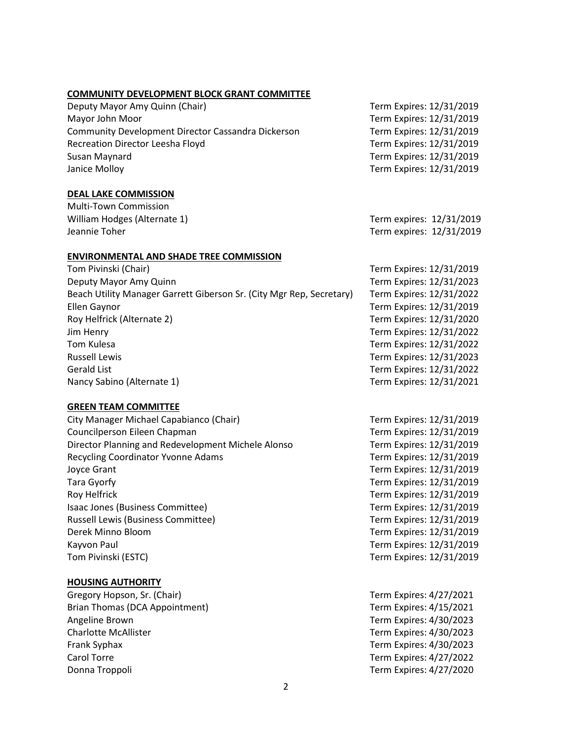#### **COMMUNITY DEVELOPMENT BLOCK GRANT COMMITTEE**

Deputy Mayor Amy Quinn (Chair) Deputy Mayor Amy Quinn (Chair) Mayor John Moor **Term Expires: 12/31/2019** Community Development Director Cassandra Dickerson Term Expires: 12/31/2019 Recreation Director Leesha Floyd Term Expires: 12/31/2019 Susan Maynard Term Expires: 12/31/2019 Janice Molloy Term Expires: 12/31/2019

## **DEAL LAKE COMMISSION**

Multi-Town Commission William Hodges (Alternate 1) Term expires: 12/31/2019 Jeannie Toher Term expires: 12/31/2019

### **ENVIRONMENTAL AND SHADE TREE COMMISSION**

| Tom Pivinski (Chair)                                                 |
|----------------------------------------------------------------------|
| Deputy Mayor Amy Quinn                                               |
| Beach Utility Manager Garrett Giberson Sr. (City Mgr Rep, Secretary) |
| Ellen Gaynor                                                         |
| Roy Helfrick (Alternate 2)                                           |
| Jim Henry                                                            |
| Tom Kulesa                                                           |
| <b>Russell Lewis</b>                                                 |
| <b>Gerald List</b>                                                   |
| Nancy Sabino (Alternate 1)                                           |

## **GREEN TEAM COMMITTEE**

## **HOUSING AUTHORITY**

Gregory Hopson, Sr. (Chair) Term Expires: 4/27/2021 Brian Thomas (DCA Appointment) Term Expires: 4/15/2021 Angeline Brown **Term Expires: 4/30/2023** Charlotte McAllister Term Expires: 4/30/2023 Frank Syphax Term Expires: 4/30/2023 Carol Torre Term Expires: 4/27/2022 Donna Troppoli Term Expires: 4/27/2020

Term Expires: 12/31/2019 Term Expires: 12/31/2023 Term Expires: 12/31/2022 Term Expires: 12/31/2019 Term Expires: 12/31/2020 Term Expires: 12/31/2022 Term Expires: 12/31/2022 **Term Expires: 12/31/2023** Term Expires: 12/31/2022 Term Expires: 12/31/2021

Term Expires: 12/31/2019 Term Expires: 12/31/2019 Term Expires: 12/31/2019 Term Expires: 12/31/2019 Term Expires: 12/31/2019 Term Expires: 12/31/2019 Term Expires: 12/31/2019 Term Expires: 12/31/2019 Term Expires: 12/31/2019 Term Expires: 12/31/2019 Term Expires: 12/31/2019 Term Expires: 12/31/2019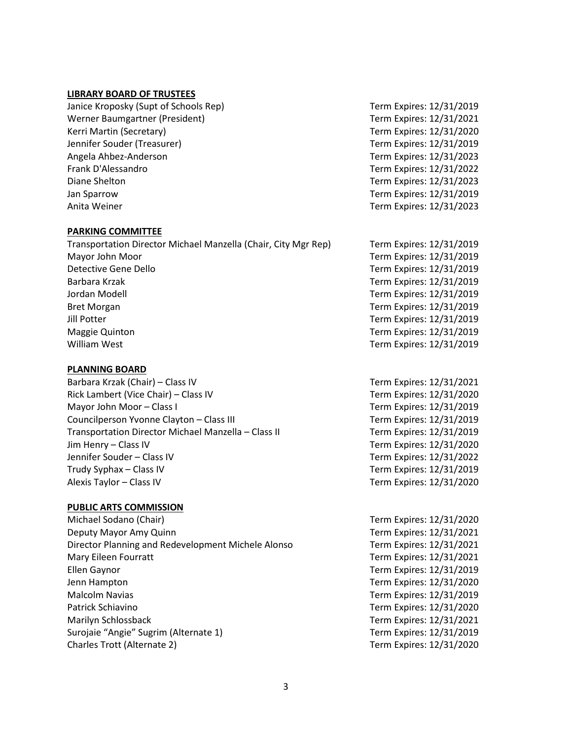### **LIBRARY BOARD OF TRUSTEES**

Janice Kroposky (Supt of Schools Rep) Term Expires: 12/31/2019 Werner Baumgartner (President) Term Expires: 12/31/2021 Kerri Martin (Secretary) Term Expires: 12/31/2020 Jennifer Souder (Treasurer) Term Expires: 12/31/2019 Angela Ahbez-Anderson Term Expires: 12/31/2023 Frank D'Alessandro **Term Expires: 12/31/2022** Diane Shelton Term Expires: 12/31/2023 Jan Sparrow Term Expires: 12/31/2019 Anita Weiner Term Expires: 12/31/2023

#### **PARKING COMMITTEE**

Transportation Director Michael Manzella (Chair, City Mgr Rep) Term Expires: 12/31/2019 Mayor John Moor Term Expires: 12/31/2019 Detective Gene Dello Term Expires: 12/31/2019 Barbara Krzak Term Expires: 12/31/2019 Jordan Modell Term Expires: 12/31/2019 Bret Morgan Term Expires: 12/31/2019 Jill Potter Term Expires: 12/31/2019 Maggie Quinton Term Expires: 12/31/2019 William West **Term Expires: 12/31/2019** 

### **PLANNING BOARD**

Barbara Krzak (Chair) – Class IV Term Expires: 12/31/2021 Rick Lambert (Vice Chair) – Class IV Term Expires: 12/31/2020 Mayor John Moor – Class I Term Expires: 12/31/2019 Councilperson Yvonne Clayton – Class III Term Expires: 12/31/2019 Transportation Director Michael Manzella – Class II Term Expires: 12/31/2019 Jim Henry – Class IV Term Expires: 12/31/2020 Jennifer Souder – Class IV Term Expires: 12/31/2022 Trudy Syphax – Class IV Term Expires: 12/31/2019 Alexis Taylor – Class IV Term Expires: 12/31/2020

## **PUBLIC ARTS COMMISSION**

Michael Sodano (Chair) Term Expires: 12/31/2020 Deputy Mayor Amy Quinn Term Expires: 12/31/2021 Director Planning and Redevelopment Michele Alonso Term Expires: 12/31/2021 Mary Eileen Fourratt **Term Expires: 12/31/2021** Ellen Gaynor Term Expires: 12/31/2019 Jenn Hampton Term Expires: 12/31/2020 Malcolm Navias Term Expires: 12/31/2019 Patrick Schiavino Term Expires: 12/31/2020 Marilyn Schlossback Term Expires: 12/31/2021 Surojaie "Angie" Sugrim (Alternate 1) Term Expires: 12/31/2019 Charles Trott (Alternate 2) Term Expires: 12/31/2020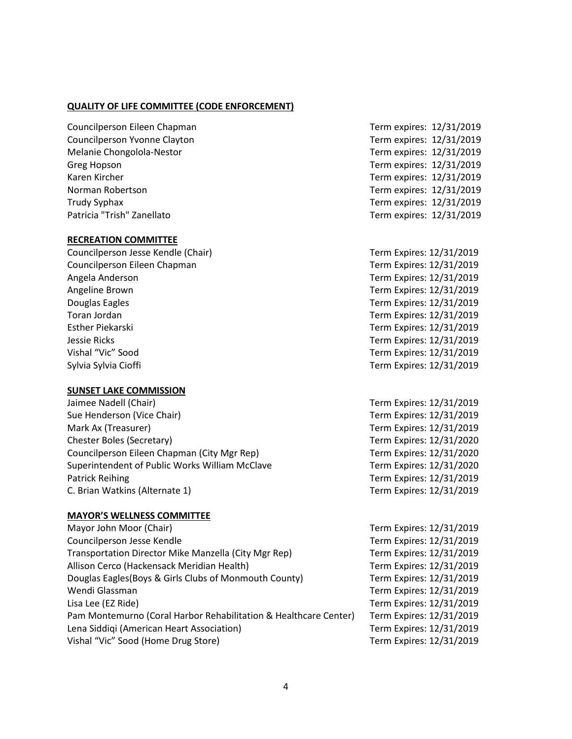## **QUALITY OF LIFE COMMITTEE (CODE ENFORCEMENT)**

Councilperson Eileen Chapman Term expires: 12/31/2019 Councilperson Yvonne Clayton Term expires: 12/31/2019 Melanie Chongolola-Nestor Term expires: 12/31/2019 Greg Hopson **Term expires:** 12/31/2019 Karen Kircher Term expires: 12/31/2019 Norman Robertson Term expires: 12/31/2019 Trudy Syphax Term expires: 12/31/2019 Patricia "Trish" Zanellato **Term expires: 12/31/2019** 

#### **RECREATION COMMITTEE**

Councilperson Jesse Kendle (Chair) Term Expires: 12/31/2019 Councilperson Eileen Chapman Term Expires: 12/31/2019 Angela Anderson Term Expires: 12/31/2019 Angeline Brown Term Expires: 12/31/2019 Douglas Eagles Term Expires: 12/31/2019 Toran Jordan Term Expires: 12/31/2019 Esther Piekarski Term Expires: 12/31/2019 Jessie Ricks Term Expires: 12/31/2019 Vishal "Vic" Sood Term Expires: 12/31/2019 Sylvia Sylvia Cioffi **Term Expires: 12/31/2019** Term Expires: 12/31/2019

### **SUNSET LAKE COMMISSION**

Jaimee Nadell (Chair) Term Expires: 12/31/2019 Sue Henderson (Vice Chair) Term Expires: 12/31/2019 Mark Ax (Treasurer) Term Expires: 12/31/2019 Chester Boles (Secretary) Term Expires: 12/31/2020 Councilperson Eileen Chapman (City Mgr Rep) Term Expires: 12/31/2020 Superintendent of Public Works William McClave Term Expires: 12/31/2020 Patrick Reihing Term Expires: 12/31/2019 C. Brian Watkins (Alternate 1) Term Expires: 12/31/2019

#### **MAYOR'S WELLNESS COMMITTEE**

Mayor John Moor (Chair) Mayor John Moor (Chair) Term Expires: 12/31/2019 Councilperson Jesse Kendle Term Expires: 12/31/2019 Transportation Director Mike Manzella (City Mgr Rep) Term Expires: 12/31/2019 Allison Cerco (Hackensack Meridian Health) Term Expires: 12/31/2019 Douglas Eagles(Boys & Girls Clubs of Monmouth County) Term Expires: 12/31/2019 Wendi Glassman Term Expires: 12/31/2019 Lisa Lee (EZ Ride) Term Expires: 12/31/2019 Pam Montemurno (Coral Harbor Rehabilitation & Healthcare Center) Term Expires: 12/31/2019 Lena Siddiqi (American Heart Association) Term Expires: 12/31/2019 Vishal "Vic" Sood (Home Drug Store) Term Expires: 12/31/2019